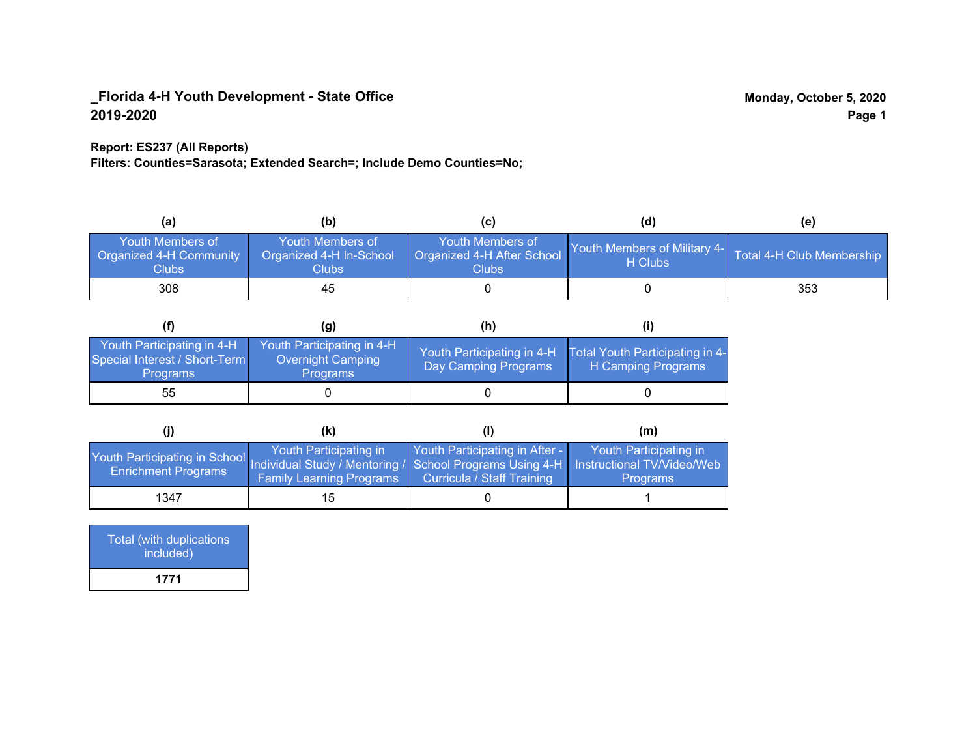## **Report: ES237 (All Reports)**

**Filters: Counties=Sarasota; Extended Search=; Include Demo Counties=No;**

| (a)                                                  | (b)                                                   | (C)                                                       | (d)                                     | (e)                       |
|------------------------------------------------------|-------------------------------------------------------|-----------------------------------------------------------|-----------------------------------------|---------------------------|
| Youth Members of<br>Organized 4-H Community<br>Clubs | Youth Members of<br>Organized 4-H In-School<br>Clubs: | Youth Members of<br>Organized 4-H After School<br>Clubs : | Youth Members of Military 4-<br>H Clubs | Total 4-H Club Membership |
| 308                                                  | 45                                                    |                                                           |                                         | 353                       |

|                                                                                | (g)                                                                | (h)                                                |                                                       |
|--------------------------------------------------------------------------------|--------------------------------------------------------------------|----------------------------------------------------|-------------------------------------------------------|
| Youth Participating in 4-H<br>Special Interest / Short-Term<br><b>Programs</b> | Youth Participating in 4-H<br>Overnight Camping<br><b>Programs</b> | Youth Participating in 4-H<br>Day Camping Programs | Total Youth Participating in 4-<br>H Camping Programs |
| 55                                                                             |                                                                    |                                                    |                                                       |

|                                                                                                                                                 | (K)                                                       |                                                                     | (m)                                       |
|-------------------------------------------------------------------------------------------------------------------------------------------------|-----------------------------------------------------------|---------------------------------------------------------------------|-------------------------------------------|
| Youth Participating in School Individual Study / Mentoring / School Programs Using 4-H Instructional TV/Video/Web<br><b>Enrichment Programs</b> | Youth Participating in<br><b>Family Learning Programs</b> | Youth Participating in After -<br><b>Curricula / Staff Training</b> | Youth Participating in<br><b>Programs</b> |
| 1347                                                                                                                                            | 15                                                        |                                                                     |                                           |

| Total (with duplications<br>included) |  |
|---------------------------------------|--|
| 1771                                  |  |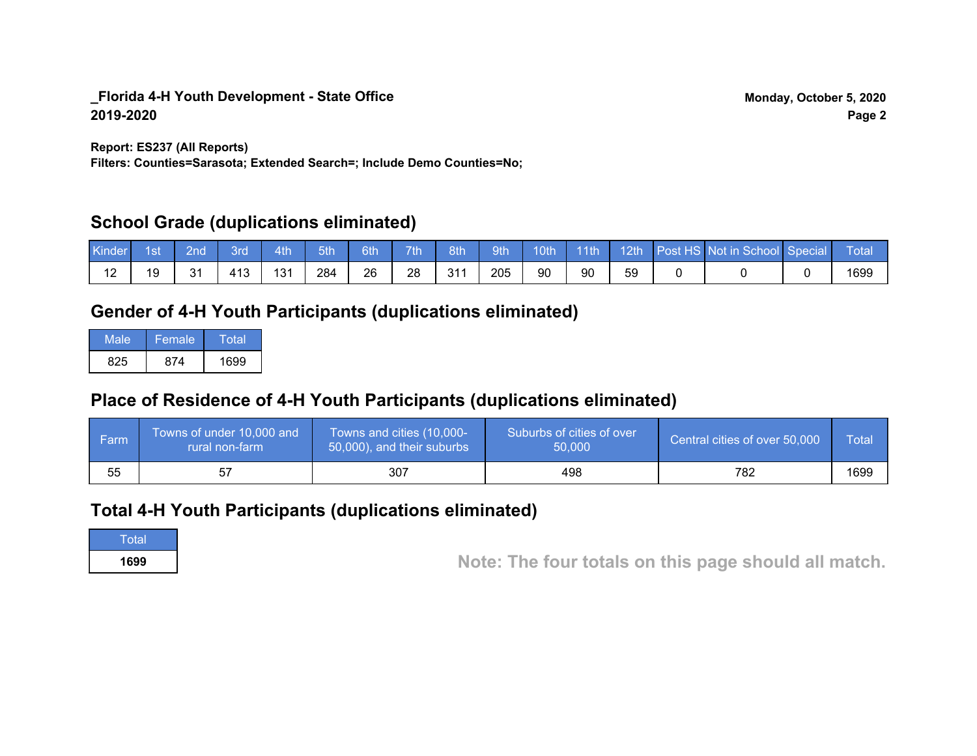**Report: ES237 (All Reports)**

**Filters: Counties=Sarasota; Extended Search=; Include Demo Counties=No;**

## **School Grade (duplications eliminated)**

| Kinder | 1st | 2nd' | <b>Brd</b> | 4th | 5th | 6th | 7th | 8th | 9th | 10th | $\vert$ 11th | $\sqrt{12th}$ | Post HS Not in School Special | Total |
|--------|-----|------|------------|-----|-----|-----|-----|-----|-----|------|--------------|---------------|-------------------------------|-------|
|        |     | 31   | 413        | 131 | 284 | 26  | 28  | 311 | 205 | 90   | 90           | 59            |                               | 1699  |

# **Gender of 4-H Youth Participants (duplications eliminated)**

| Male | Female | Total |
|------|--------|-------|
| 825  | 874    | 1699  |

# **Place of Residence of 4-H Youth Participants (duplications eliminated)**

| l Farm | Towns of under 10,000 and<br>rural non-farm | Towns and cities (10,000-<br>50,000), and their suburbs | Suburbs of cities of over<br>50,000 | Central cities of over 50,000 | <b>Total</b> |
|--------|---------------------------------------------|---------------------------------------------------------|-------------------------------------|-------------------------------|--------------|
| 55     |                                             | 307                                                     | 498                                 | 782                           | 1699         |

## **Total 4-H Youth Participants (duplications eliminated)**

**Total** 

**<sup>1699</sup> Note: The four totals on this page should all match.**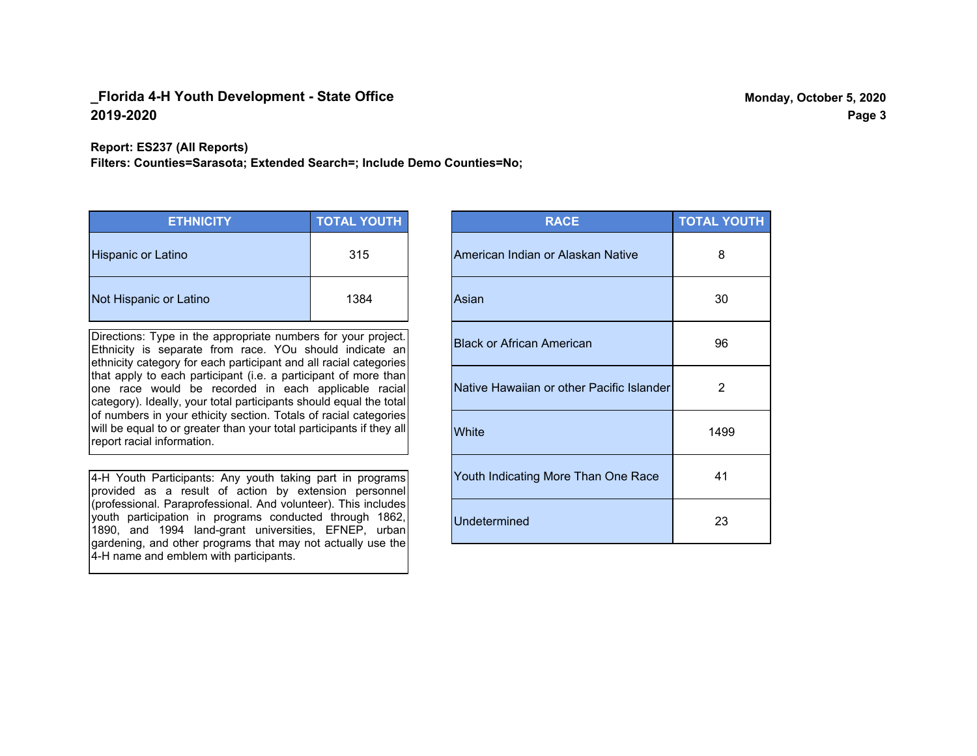**Report: ES237 (All Reports)**

**Filters: Counties=Sarasota; Extended Search=; Include Demo Counties=No;**

| <b>ETHNICITY</b>          | <b>TOTAL YOUTH</b> |
|---------------------------|--------------------|
| <b>Hispanic or Latino</b> | 315                |
| Not Hispanic or Latino    | 1384               |

Directions: Type in the appropriate numbers for your project. Ethnicity is separate from race. YOu should indicate an ethnicity category for each participant and all racial categories that apply to each participant (i.e. a participant of more than one race would be recorded in each applicable racial category). Ideally, your total participants should equal the total of numbers in your ethicity section. Totals of racial categories will be equal to or greater than your total participants if they all report racial information.

4-H Youth Participants: Any youth taking part in programs provided as a result of action by extension personnel (professional. Paraprofessional. And volunteer). This includes youth participation in programs conducted through 1862, 1890, and 1994 land-grant universities, EFNEP, urban gardening, and other programs that may not actually use the 4-H name and emblem with participants.

| <b>RACE</b>                               | <b>TOTAL YOUTH</b> |
|-------------------------------------------|--------------------|
| American Indian or Alaskan Native         | 8                  |
| Asian                                     | 30                 |
| <b>Black or African American</b>          | 96                 |
| Native Hawaiian or other Pacific Islander | 2                  |
| White                                     | 1499               |
| Youth Indicating More Than One Race       | 41                 |
| <b>Undetermined</b>                       | 23                 |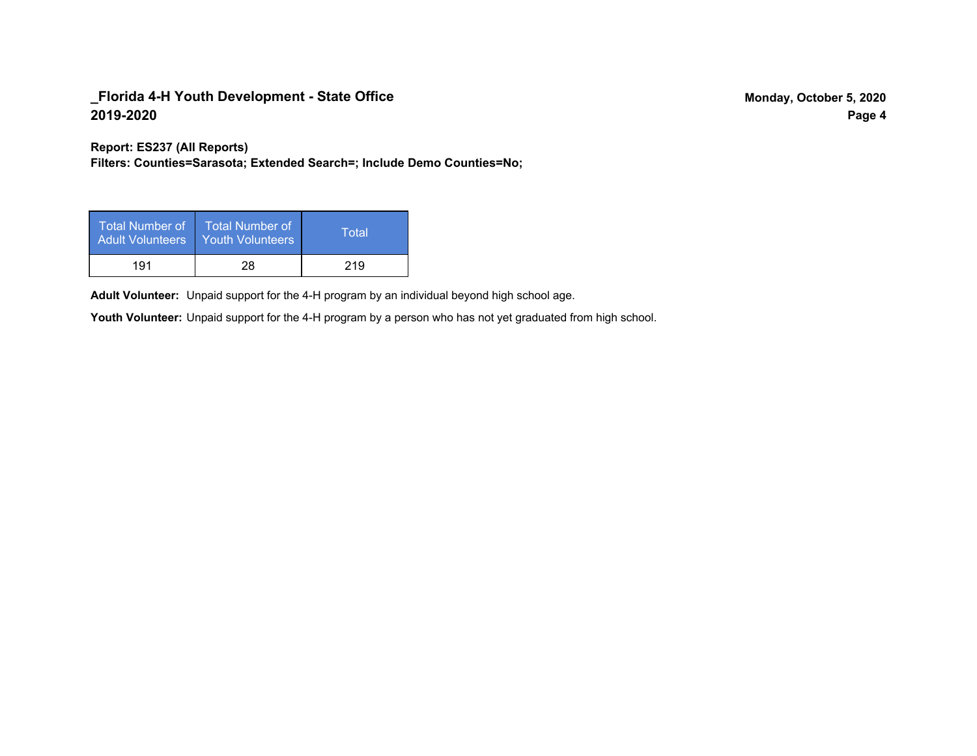**Report: ES237 (All Reports)**

**Filters: Counties=Sarasota; Extended Search=; Include Demo Counties=No;**

| Total Number of<br><b>Adult Volunteers</b> | <b>Total Number of</b><br><b>Youth Volunteers</b> | Total |
|--------------------------------------------|---------------------------------------------------|-------|
| 191                                        | 28                                                | 219   |

Adult Volunteer: Unpaid support for the 4-H program by an individual beyond high school age.

Youth Volunteer: Unpaid support for the 4-H program by a person who has not yet graduated from high school.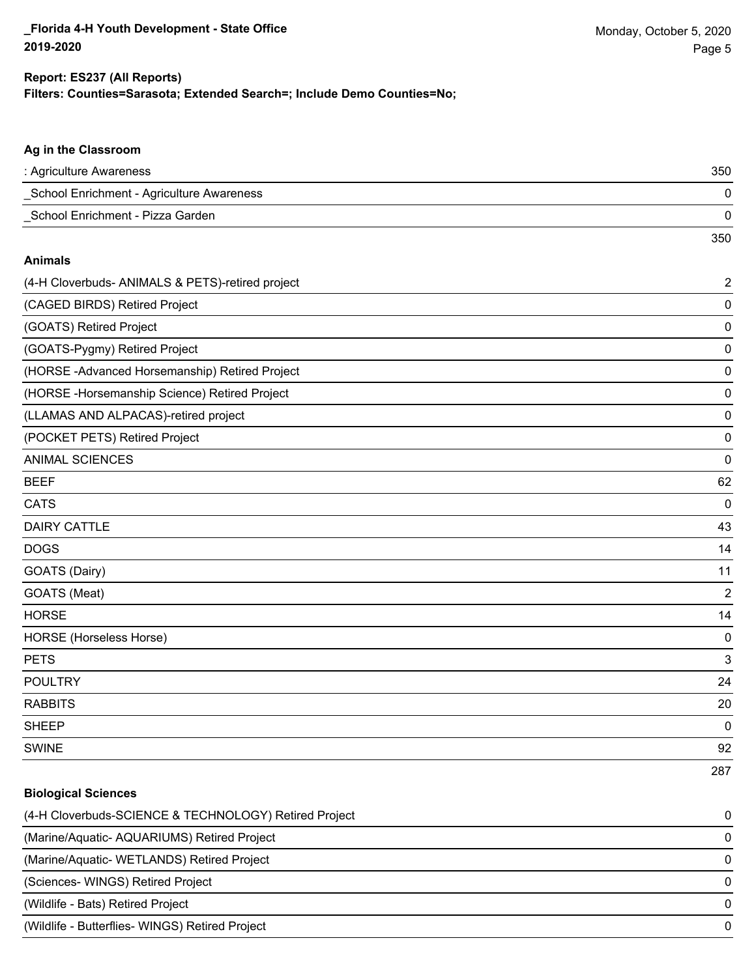#### **Filters: Counties=Sarasota; Extended Search=; Include Demo Counties=No; Report: ES237 (All Reports)**

| Ag in the Classroom                              |                |
|--------------------------------------------------|----------------|
| : Agriculture Awareness                          | 350            |
| School Enrichment - Agriculture Awareness        | 0              |
| School Enrichment - Pizza Garden                 | 0              |
|                                                  | 350            |
| <b>Animals</b>                                   |                |
| (4-H Cloverbuds- ANIMALS & PETS)-retired project | $\overline{a}$ |
| (CAGED BIRDS) Retired Project                    | 0              |
| (GOATS) Retired Project                          | 0              |
| (GOATS-Pygmy) Retired Project                    | 0              |
| (HORSE-Advanced Horsemanship) Retired Project    | 0              |
| (HORSE - Horsemanship Science) Retired Project   | 0              |
| (LLAMAS AND ALPACAS)-retired project             | 0              |
| (POCKET PETS) Retired Project                    | 0              |
| <b>ANIMAL SCIENCES</b>                           | 0              |
| <b>BEEF</b>                                      | 62             |
| <b>CATS</b>                                      | $\mathbf 0$    |
| <b>DAIRY CATTLE</b>                              | 43             |
| <b>DOGS</b>                                      | 14             |
| GOATS (Dairy)                                    | 11             |
| GOATS (Meat)                                     | $\overline{a}$ |
| <b>HORSE</b>                                     | 14             |
| HORSE (Horseless Horse)                          | 0              |
| <b>PETS</b>                                      | 3              |
| <b>POULTRY</b>                                   | 24             |
| <b>RABBITS</b>                                   | 20             |
| <b>SHEEP</b>                                     | $\mathbf 0$    |
| <b>SWINE</b>                                     | 92             |
|                                                  | 287            |

# **Biological Sciences** (4-H Cloverbuds-SCIENCE & TECHNOLOGY) Retired Project 0 (Marine/Aquatic- AQUARIUMS) Retired Project 0 (Marine/Aquatic- WETLANDS) Retired Project 0 (Sciences- WINGS) Retired Project 0 (Wildlife - Bats) Retired Project 0 (Wildlife - Butterflies- WINGS) Retired Project 0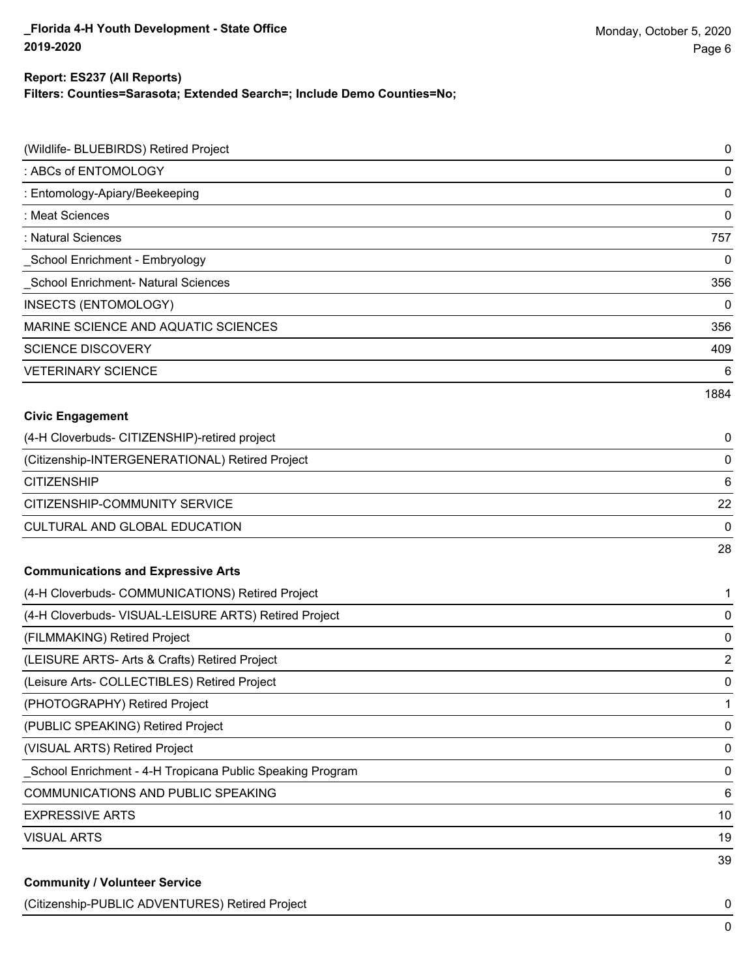#### **Report: ES237 (All Reports)**

**Filters: Counties=Sarasota; Extended Search=; Include Demo Counties=No;**

| (Wildlife- BLUEBIRDS) Retired Project                     | 0              |
|-----------------------------------------------------------|----------------|
| : ABCs of ENTOMOLOGY                                      | 0              |
| : Entomology-Apiary/Beekeeping                            | 0              |
| : Meat Sciences                                           | 0              |
| : Natural Sciences                                        | 757            |
| School Enrichment - Embryology                            | 0              |
| <b>School Enrichment- Natural Sciences</b>                | 356            |
| <b>INSECTS (ENTOMOLOGY)</b>                               | 0              |
| MARINE SCIENCE AND AQUATIC SCIENCES                       | 356            |
| <b>SCIENCE DISCOVERY</b>                                  | 409            |
| <b>VETERINARY SCIENCE</b>                                 | 6              |
|                                                           | 1884           |
| <b>Civic Engagement</b>                                   |                |
| (4-H Cloverbuds- CITIZENSHIP)-retired project             | 0              |
| (Citizenship-INTERGENERATIONAL) Retired Project           | 0              |
| <b>CITIZENSHIP</b>                                        | 6              |
| CITIZENSHIP-COMMUNITY SERVICE                             | 22             |
| CULTURAL AND GLOBAL EDUCATION                             | 0              |
|                                                           | 28             |
| <b>Communications and Expressive Arts</b>                 |                |
| (4-H Cloverbuds- COMMUNICATIONS) Retired Project          | 1              |
| (4-H Cloverbuds- VISUAL-LEISURE ARTS) Retired Project     | 0              |
| (FILMMAKING) Retired Project                              | 0              |
| (LEISURE ARTS- Arts & Crafts) Retired Project             | $\overline{2}$ |
| (Leisure Arts- COLLECTIBLES) Retired Project              | 0              |
| (PHOTOGRAPHY) Retired Project                             | 1              |
| (PUBLIC SPEAKING) Retired Project                         | 0              |
| (VISUAL ARTS) Retired Project                             | 0              |
| School Enrichment - 4-H Tropicana Public Speaking Program | 0              |
| COMMUNICATIONS AND PUBLIC SPEAKING                        | 6              |
| <b>EXPRESSIVE ARTS</b>                                    | 10             |
| <b>VISUAL ARTS</b>                                        | 19             |
|                                                           | 39             |
| <b>Community / Volunteer Service</b>                      |                |

(Citizenship-PUBLIC ADVENTURES) Retired Project 0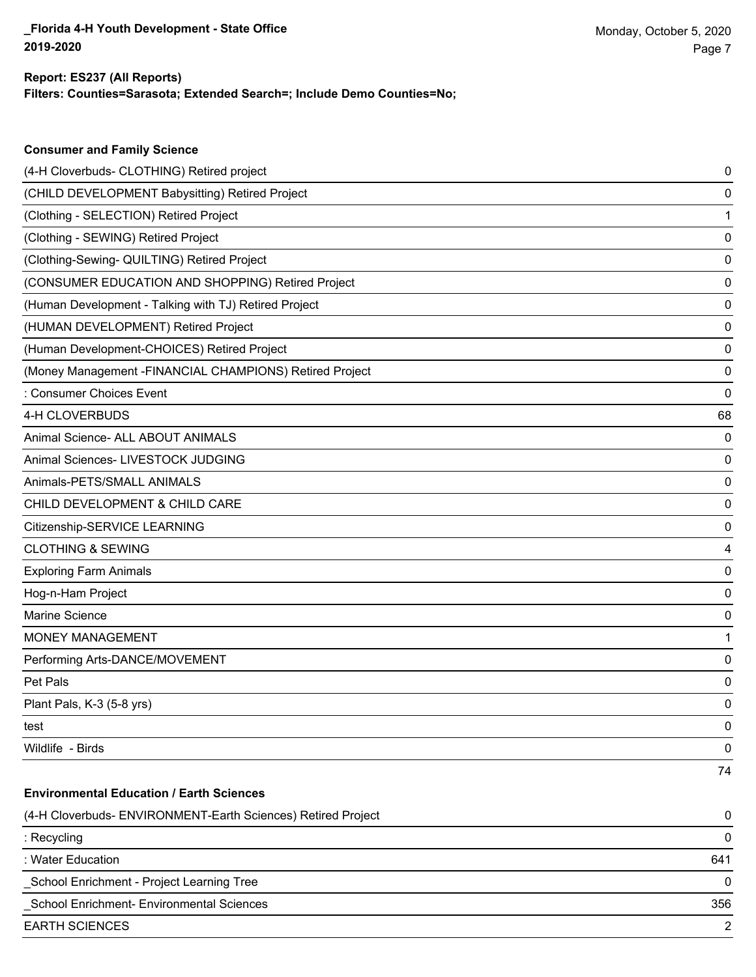## **Filters: Counties=Sarasota; Extended Search=; Include Demo Counties=No; Report: ES237 (All Reports)**

| <b>Consumer and Family Science</b>                           |     |
|--------------------------------------------------------------|-----|
| (4-H Cloverbuds- CLOTHING) Retired project                   | 0   |
| (CHILD DEVELOPMENT Babysitting) Retired Project              | 0   |
| (Clothing - SELECTION) Retired Project                       | 1   |
| (Clothing - SEWING) Retired Project                          | 0   |
| (Clothing-Sewing- QUILTING) Retired Project                  | 0   |
| (CONSUMER EDUCATION AND SHOPPING) Retired Project            | 0   |
| (Human Development - Talking with TJ) Retired Project        | 0   |
| (HUMAN DEVELOPMENT) Retired Project                          | 0   |
| (Human Development-CHOICES) Retired Project                  | 0   |
| (Money Management - FINANCIAL CHAMPIONS) Retired Project     | 0   |
| : Consumer Choices Event                                     | 0   |
| 4-H CLOVERBUDS                                               | 68  |
| Animal Science- ALL ABOUT ANIMALS                            | 0   |
| Animal Sciences- LIVESTOCK JUDGING                           | 0   |
| Animals-PETS/SMALL ANIMALS                                   | 0   |
| CHILD DEVELOPMENT & CHILD CARE                               | 0   |
| Citizenship-SERVICE LEARNING                                 | 0   |
| <b>CLOTHING &amp; SEWING</b>                                 | 4   |
| <b>Exploring Farm Animals</b>                                | 0   |
| Hog-n-Ham Project                                            | 0   |
| Marine Science                                               | 0   |
| <b>MONEY MANAGEMENT</b>                                      | 1   |
| Performing Arts-DANCE/MOVEMENT                               | 0   |
| Pet Pals                                                     | 0   |
| Plant Pals, K-3 (5-8 yrs)                                    | 0   |
| test                                                         | 0   |
| Wildlife - Birds                                             | 0   |
|                                                              | 74  |
| <b>Environmental Education / Earth Sciences</b>              |     |
| (4-H Cloverbuds- ENVIRONMENT-Earth Sciences) Retired Project | 0   |
| : Recycling                                                  | 0   |
| : Water Education                                            | 641 |
| School Enrichment - Project Learning Tree                    | 0   |
| School Enrichment- Environmental Sciences                    | 356 |
| <b>EARTH SCIENCES</b>                                        | 2   |
|                                                              |     |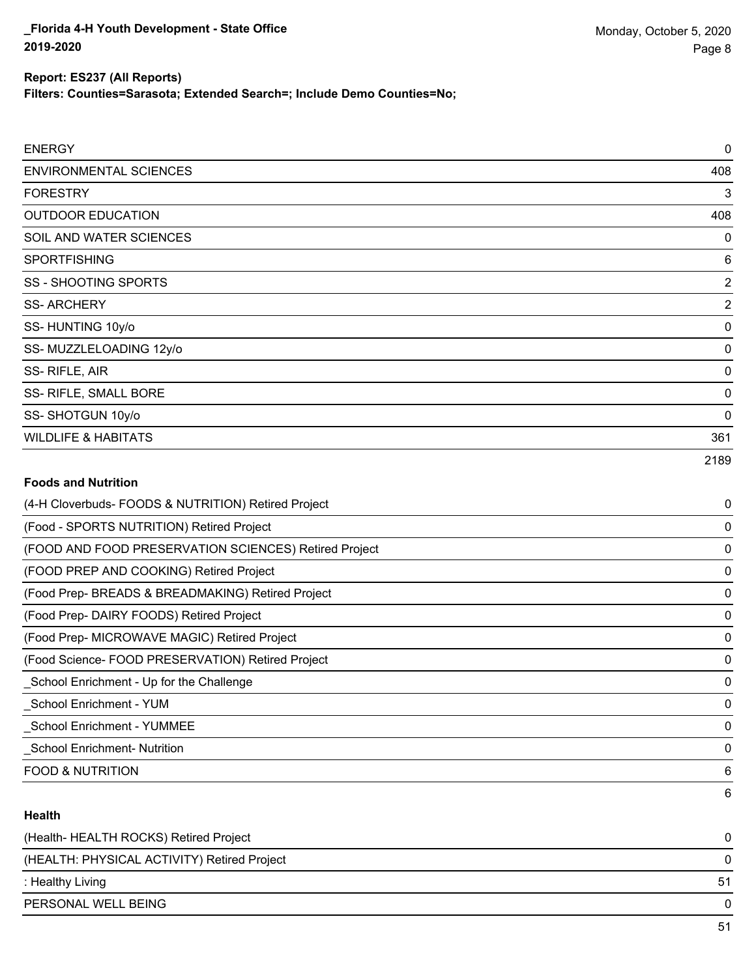**Filters: Counties=Sarasota; Extended Search=; Include Demo Counties=No;**

| <b>ENERGY</b>                  | $\mathbf 0$    |
|--------------------------------|----------------|
| <b>ENVIRONMENTAL SCIENCES</b>  | 408            |
| <b>FORESTRY</b>                | 3              |
| <b>OUTDOOR EDUCATION</b>       | 408            |
| SOIL AND WATER SCIENCES        | 0              |
| <b>SPORTFISHING</b>            | 6              |
| <b>SS - SHOOTING SPORTS</b>    | $\overline{2}$ |
| <b>SS-ARCHERY</b>              | $\overline{2}$ |
| SS-HUNTING 10y/o               | $\mathbf 0$    |
| SS-MUZZLELOADING 12y/o         | $\mathbf 0$    |
| SS-RIFLE, AIR                  | $\mathbf 0$    |
| SS- RIFLE, SMALL BORE          | $\mathbf 0$    |
| SS-SHOTGUN 10y/o               | $\mathbf 0$    |
| <b>WILDLIFE &amp; HABITATS</b> | 361            |
|                                | 2189           |

## **Foods and Nutrition**

| (4-H Cloverbuds- FOODS & NUTRITION) Retired Project   | 0 |
|-------------------------------------------------------|---|
| (Food - SPORTS NUTRITION) Retired Project             | 0 |
| (FOOD AND FOOD PRESERVATION SCIENCES) Retired Project | 0 |
| (FOOD PREP AND COOKING) Retired Project               | 0 |
| (Food Prep- BREADS & BREADMAKING) Retired Project     | 0 |
| (Food Prep- DAIRY FOODS) Retired Project              | 0 |
| (Food Prep- MICROWAVE MAGIC) Retired Project          | 0 |
| (Food Science- FOOD PRESERVATION) Retired Project     | 0 |
| School Enrichment - Up for the Challenge              | 0 |
| School Enrichment - YUM                               | 0 |
| <b>School Enrichment - YUMMEE</b>                     | 0 |
| <b>School Enrichment- Nutrition</b>                   | 0 |
| <b>FOOD &amp; NUTRITION</b>                           | 6 |
|                                                       | 6 |

## **Health**

| (Health-HEALTH ROCKS) Retired Project       | 0  |
|---------------------------------------------|----|
| (HEALTH: PHYSICAL ACTIVITY) Retired Project | 0  |
| : Healthy Living                            | 51 |
| PERSONAL WELL BEING                         | 0  |
|                                             | 51 |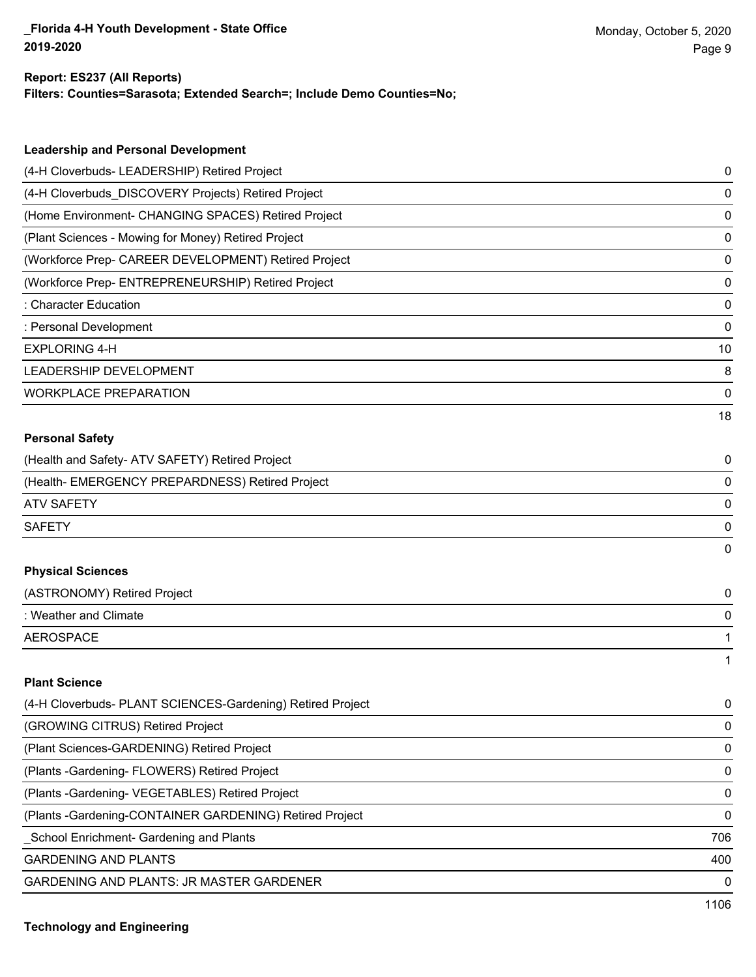## **Report: ES237 (All Reports)**

**Filters: Counties=Sarasota; Extended Search=; Include Demo Counties=No;**

| <b>Leadership and Personal Development</b>                 |    |
|------------------------------------------------------------|----|
| (4-H Cloverbuds- LEADERSHIP) Retired Project               | 0  |
| (4-H Cloverbuds_DISCOVERY Projects) Retired Project        | 0  |
| (Home Environment- CHANGING SPACES) Retired Project        | 0  |
| (Plant Sciences - Mowing for Money) Retired Project        | 0  |
| (Workforce Prep- CAREER DEVELOPMENT) Retired Project       | 0  |
| (Workforce Prep- ENTREPRENEURSHIP) Retired Project         | 0  |
| : Character Education                                      | 0  |
| : Personal Development                                     | 0  |
| <b>EXPLORING 4-H</b>                                       | 10 |
| LEADERSHIP DEVELOPMENT                                     | 8  |
| <b>WORKPLACE PREPARATION</b>                               | 0  |
|                                                            | 18 |
| <b>Personal Safety</b>                                     |    |
| (Health and Safety- ATV SAFETY) Retired Project            | 0  |
| (Health- EMERGENCY PREPARDNESS) Retired Project            | 0  |
| <b>ATV SAFETY</b>                                          | 0  |
| <b>SAFETY</b>                                              | 0  |
|                                                            | 0  |
| <b>Physical Sciences</b>                                   |    |
| (ASTRONOMY) Retired Project                                | 0  |
| : Weather and Climate                                      | 0  |
| <b>AEROSPACE</b>                                           | 1  |
|                                                            | 1  |
| <b>Plant Science</b>                                       |    |
| (4-H Cloverbuds- PLANT SCIENCES-Gardening) Retired Project | 0  |
| (GROWING CITRUS) Retired Project                           | 0  |
| (Plant Sciences-GARDENING) Retired Project                 | 0  |
| (Plants - Gardening - FLOWERS) Retired Project             | 0  |
| (Plants - Gardening - VEGETABLES) Retired Project          | 0  |
|                                                            |    |

(Plants -Gardening-CONTAINER GARDENING) Retired Project 0

\_School Enrichment- Gardening and Plants 706

GARDENING AND PLANTS 400

GARDENING AND PLANTS: JR MASTER GARDENER 0